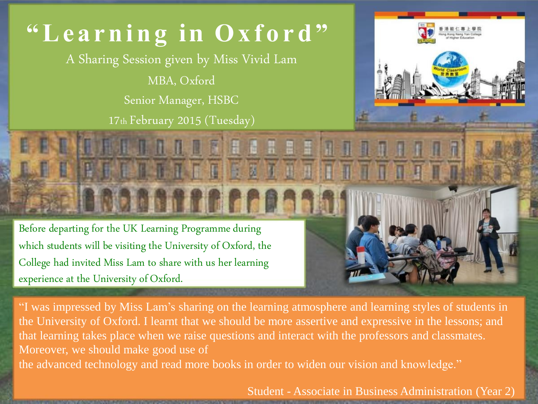## **" L e a r ni n g i n O x f o r d "**

A Sharing Session given by Miss Vivid Lam

MBA, Oxford

Senior Manager, HSBC

17th February 2015 (Tuesday)

TTETETTI

**ROOMATE FRAGAN** 

000



Before departing for the UK Learning Programme during which students will be visiting the University of Oxford, the College had invited Miss Lam to share with us her learning experience at the University of Oxford.

"I was impressed by Miss Lam's sharing on the learning atmosphere and learning styles of students in the University of Oxford. I learnt that we should be more assertive and expressive in the lessons; and that learning takes place when we raise questions and interact with the professors and classmates. Moreover, we should make good use of the advanced technology and read more books in order to widen our vision and knowledge."

Student - Associate in Business Administration (Year 2)